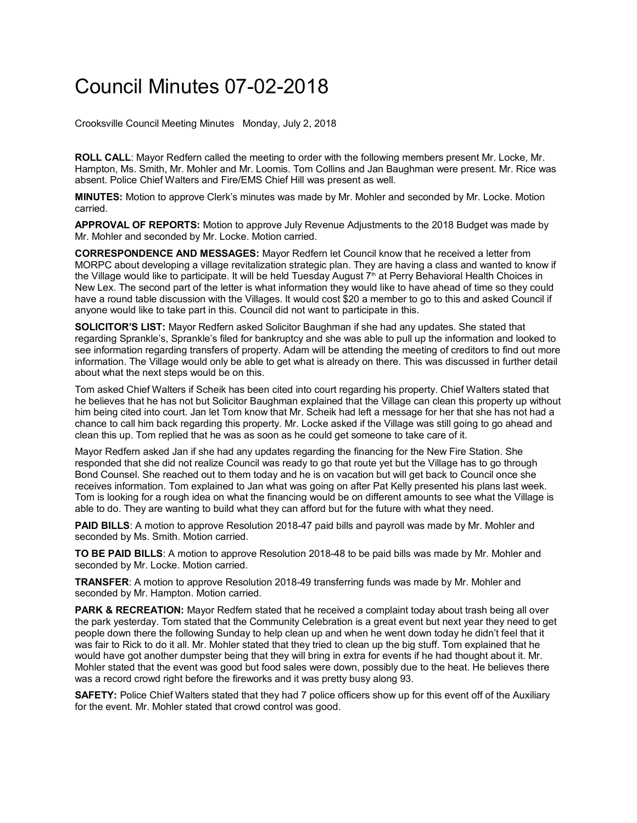## Council Minutes 07-02-2018

Crooksville Council Meeting Minutes Monday, July 2, 2018

**ROLL CALL**: Mayor Redfern called the meeting to order with the following members present Mr. Locke, Mr. Hampton, Ms. Smith, Mr. Mohler and Mr. Loomis. Tom Collins and Jan Baughman were present. Mr. Rice was absent. Police Chief Walters and Fire/EMS Chief Hill was present as well.

**MINUTES:** Motion to approve Clerk's minutes was made by Mr. Mohler and seconded by Mr. Locke. Motion carried.

**APPROVAL OF REPORTS:** Motion to approve July Revenue Adjustments to the 2018 Budget was made by Mr. Mohler and seconded by Mr. Locke. Motion carried.

**CORRESPONDENCE AND MESSAGES:** Mayor Redfern let Council know that he received a letter from MORPC about developing a village revitalization strategic plan. They are having a class and wanted to know if the Village would like to participate. It will be held Tuesday August  $7<sup>th</sup>$  at Perry Behavioral Health Choices in New Lex. The second part of the letter is what information they would like to have ahead of time so they could have a round table discussion with the Villages. It would cost \$20 a member to go to this and asked Council if anyone would like to take part in this. Council did not want to participate in this.

**SOLICITOR'S LIST:** Mayor Redfern asked Solicitor Baughman if she had any updates. She stated that regarding Sprankle's, Sprankle's filed for bankruptcy and she was able to pull up the information and looked to see information regarding transfers of property. Adam will be attending the meeting of creditors to find out more information. The Village would only be able to get what is already on there. This was discussed in further detail about what the next steps would be on this.

Tom asked Chief Walters if Scheik has been cited into court regarding his property. Chief Walters stated that he believes that he has not but Solicitor Baughman explained that the Village can clean this property up without him being cited into court. Jan let Tom know that Mr. Scheik had left a message for her that she has not had a chance to call him back regarding this property. Mr. Locke asked if the Village was still going to go ahead and clean this up. Tom replied that he was as soon as he could get someone to take care of it.

Mayor Redfern asked Jan if she had any updates regarding the financing for the New Fire Station. She responded that she did not realize Council was ready to go that route yet but the Village has to go through Bond Counsel. She reached out to them today and he is on vacation but will get back to Council once she receives information. Tom explained to Jan what was going on after Pat Kelly presented his plans last week. Tom is looking for a rough idea on what the financing would be on different amounts to see what the Village is able to do. They are wanting to build what they can afford but for the future with what they need.

**PAID BILLS**: A motion to approve Resolution 2018-47 paid bills and payroll was made by Mr. Mohler and seconded by Ms. Smith. Motion carried.

**TO BE PAID BILLS**: A motion to approve Resolution 2018-48 to be paid bills was made by Mr. Mohler and seconded by Mr. Locke. Motion carried.

**TRANSFER**: A motion to approve Resolution 2018-49 transferring funds was made by Mr. Mohler and seconded by Mr. Hampton. Motion carried.

**PARK & RECREATION:** Mayor Redfern stated that he received a complaint today about trash being all over the park yesterday. Tom stated that the Community Celebration is a great event but next year they need to get people down there the following Sunday to help clean up and when he went down today he didn't feel that it was fair to Rick to do it all. Mr. Mohler stated that they tried to clean up the big stuff. Tom explained that he would have got another dumpster being that they will bring in extra for events if he had thought about it. Mr. Mohler stated that the event was good but food sales were down, possibly due to the heat. He believes there was a record crowd right before the fireworks and it was pretty busy along 93.

**SAFETY:** Police Chief Walters stated that they had 7 police officers show up for this event off of the Auxiliary for the event. Mr. Mohler stated that crowd control was good.